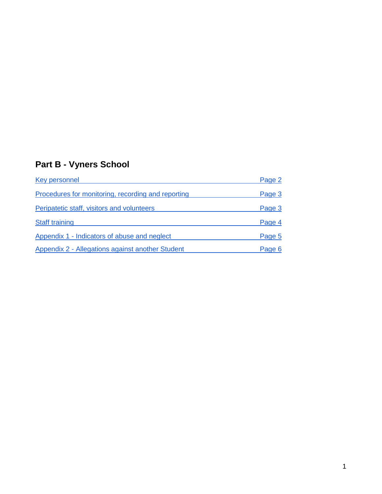## **Part B - Vyners School**

| Key personnel                                      | Page 2 |
|----------------------------------------------------|--------|
| Procedures for monitoring, recording and reporting | Page 3 |
| Peripatetic staff, visitors and volunteers         | Page 3 |
| <b>Staff training</b>                              | Page 4 |
| Appendix 1 - Indicators of abuse and neglect       | Page 5 |
| Appendix 2 - Allegations against another Student   | Page 6 |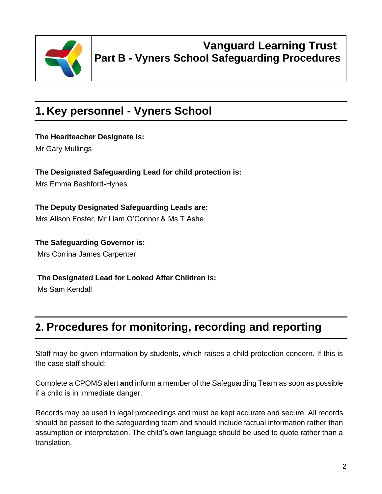

### **Vanguard Learning Trust Part B - Vyners School Safeguarding Procedures**

# **1. Key personnel - Vyners School**

**The Headteacher Designate is:**

Mr Gary Mullings

**The Designated Safeguarding Lead for child protection is:** Mrs Emma Bashford-Hynes

**The Deputy Designated Safeguarding Leads are:** Mrs Alison Foster, Mr Liam O'Connor & Ms T Ashe

**The Safeguarding Governor is:** Mrs Corrina James Carpenter

**The Designated Lead for Looked After Children is:**

Ms Sam Kendall

## **2. Procedures for monitoring, recording and reporting**

Staff may be given information by students, which raises a child protection concern. If this is the case staff should:

Complete a CPOMS alert **and** inform a member of the Safeguarding Team as soon as possible if a child is in immediate danger.

Records may be used in legal proceedings and must be kept accurate and secure. All records should be passed to the safeguarding team and should include factual information rather than assumption or interpretation. The child's own language should be used to quote rather than a translation.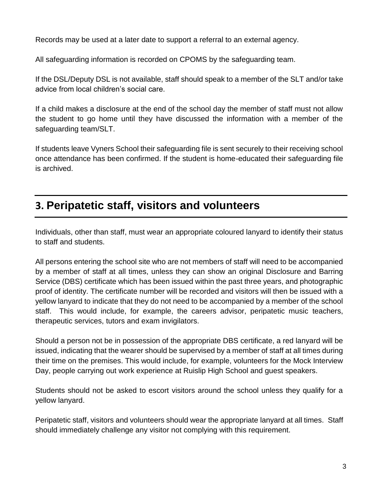Records may be used at a later date to support a referral to an external agency.

All safeguarding information is recorded on CPOMS by the safeguarding team.

If the DSL/Deputy DSL is not available, staff should speak to a member of the SLT and/or take advice from local children's social care.

If a child makes a disclosure at the end of the school day the member of staff must not allow the student to go home until they have discussed the information with a member of the safeguarding team/SLT.

If students leave Vyners School their safeguarding file is sent securely to their receiving school once attendance has been confirmed. If the student is home-educated their safeguarding file is archived.

### **3. Peripatetic staff, visitors and volunteers**

Individuals, other than staff, must wear an appropriate coloured lanyard to identify their status to staff and students.

All persons entering the school site who are not members of staff will need to be accompanied by a member of staff at all times, unless they can show an original Disclosure and Barring Service (DBS) certificate which has been issued within the past three years, and photographic proof of identity. The certificate number will be recorded and visitors will then be issued with a yellow lanyard to indicate that they do not need to be accompanied by a member of the school staff. This would include, for example, the careers advisor, peripatetic music teachers, therapeutic services, tutors and exam invigilators.

Should a person not be in possession of the appropriate DBS certificate, a red lanyard will be issued, indicating that the wearer should be supervised by a member of staff at all times during their time on the premises. This would include, for example, volunteers for the Mock Interview Day, people carrying out work experience at Ruislip High School and guest speakers.

Students should not be asked to escort visitors around the school unless they qualify for a yellow lanyard.

Peripatetic staff, visitors and volunteers should wear the appropriate lanyard at all times. Staff should immediately challenge any visitor not complying with this requirement.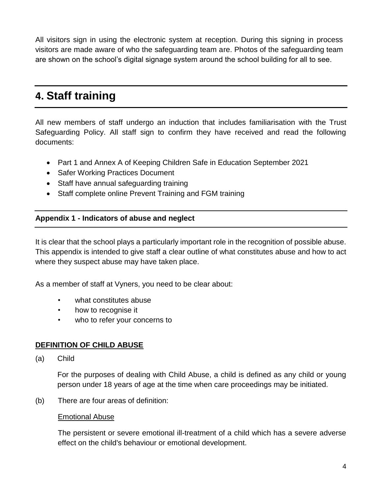All visitors sign in using the electronic system at reception. During this signing in process visitors are made aware of who the safeguarding team are. Photos of the safeguarding team are shown on the school's digital signage system around the school building for all to see.

### **4. Staff training**

All new members of staff undergo an induction that includes familiarisation with the Trust Safeguarding Policy. All staff sign to confirm they have received and read the following documents:

- Part 1 and Annex A of Keeping Children Safe in Education September 2021
- Safer Working Practices Document
- Staff have annual safeguarding training
- Staff complete online Prevent Training and FGM training

#### **Appendix 1 - Indicators of abuse and neglect**

It is clear that the school plays a particularly important role in the recognition of possible abuse. This appendix is intended to give staff a clear outline of what constitutes abuse and how to act where they suspect abuse may have taken place.

As a member of staff at Vyners, you need to be clear about:

- what constitutes abuse
- how to recognise it
- who to refer your concerns to

#### **DEFINITION OF CHILD ABUSE**

(a) Child

For the purposes of dealing with Child Abuse, a child is defined as any child or young person under 18 years of age at the time when care proceedings may be initiated.

(b) There are four areas of definition:

#### Emotional Abuse

The persistent or severe emotional ill-treatment of a child which has a severe adverse effect on the child's behaviour or emotional development.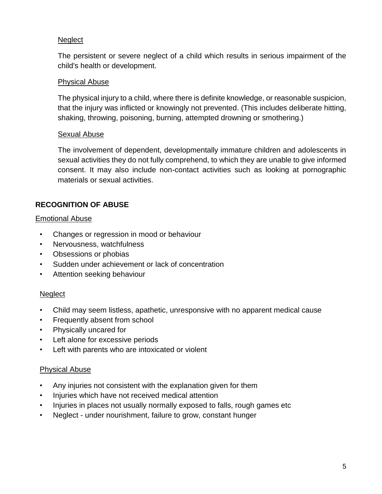#### **Neglect**

The persistent or severe neglect of a child which results in serious impairment of the child's health or development.

#### Physical Abuse

The physical injury to a child, where there is definite knowledge, or reasonable suspicion, that the injury was inflicted or knowingly not prevented. (This includes deliberate hitting, shaking, throwing, poisoning, burning, attempted drowning or smothering.)

#### Sexual Abuse

The involvement of dependent, developmentally immature children and adolescents in sexual activities they do not fully comprehend, to which they are unable to give informed consent. It may also include non-contact activities such as looking at pornographic materials or sexual activities.

### **RECOGNITION OF ABUSE**

#### Emotional Abuse

- Changes or regression in mood or behaviour
- Nervousness, watchfulness
- Obsessions or phobias
- Sudden under achievement or lack of concentration
- Attention seeking behaviour

#### **Neglect**

- Child may seem listless, apathetic, unresponsive with no apparent medical cause
- Frequently absent from school
- Physically uncared for
- Left alone for excessive periods
- Left with parents who are intoxicated or violent

#### Physical Abuse

- Any injuries not consistent with the explanation given for them
- Injuries which have not received medical attention
- Injuries in places not usually normally exposed to falls, rough games etc
- Neglect under nourishment, failure to grow, constant hunger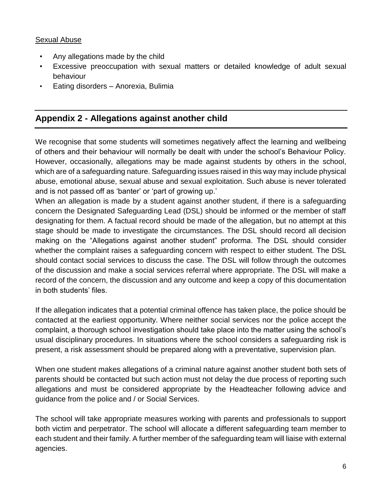#### Sexual Abuse

- Any allegations made by the child
- Excessive preoccupation with sexual matters or detailed knowledge of adult sexual behaviour
- Eating disorders Anorexia, Bulimia

### **Appendix 2 - Allegations against another child**

We recognise that some students will sometimes negatively affect the learning and wellbeing of others and their behaviour will normally be dealt with under the school's Behaviour Policy. However, occasionally, allegations may be made against students by others in the school, which are of a safeguarding nature. Safeguarding issues raised in this way may include physical abuse, emotional abuse, sexual abuse and sexual exploitation. Such abuse is never tolerated and is not passed off as 'banter' or 'part of growing up.'

When an allegation is made by a student against another student, if there is a safeguarding concern the Designated Safeguarding Lead (DSL) should be informed or the member of staff designating for them. A factual record should be made of the allegation, but no attempt at this stage should be made to investigate the circumstances. The DSL should record all decision making on the "Allegations against another student" proforma. The DSL should consider whether the complaint raises a safeguarding concern with respect to either student. The DSL should contact social services to discuss the case. The DSL will follow through the outcomes of the discussion and make a social services referral where appropriate. The DSL will make a record of the concern, the discussion and any outcome and keep a copy of this documentation in both students' files.

If the allegation indicates that a potential criminal offence has taken place, the police should be contacted at the earliest opportunity. Where neither social services nor the police accept the complaint, a thorough school investigation should take place into the matter using the school's usual disciplinary procedures. In situations where the school considers a safeguarding risk is present, a risk assessment should be prepared along with a preventative, supervision plan.

When one student makes allegations of a criminal nature against another student both sets of parents should be contacted but such action must not delay the due process of reporting such allegations and must be considered appropriate by the Headteacher following advice and guidance from the police and / or Social Services.

The school will take appropriate measures working with parents and professionals to support both victim and perpetrator. The school will allocate a different safeguarding team member to each student and their family. A further member of the safeguarding team will liaise with external agencies.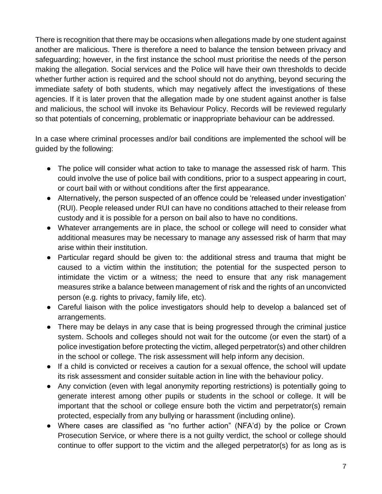There is recognition that there may be occasions when allegations made by one student against another are malicious. There is therefore a need to balance the tension between privacy and safeguarding; however, in the first instance the school must prioritise the needs of the person making the allegation. Social services and the Police will have their own thresholds to decide whether further action is required and the school should not do anything, beyond securing the immediate safety of both students, which may negatively affect the investigations of these agencies. If it is later proven that the allegation made by one student against another is false and malicious, the school will invoke its Behaviour Policy. Records will be reviewed regularly so that potentials of concerning, problematic or inappropriate behaviour can be addressed.

In a case where criminal processes and/or bail conditions are implemented the school will be guided by the following:

- The police will consider what action to take to manage the assessed risk of harm. This could involve the use of police bail with conditions, prior to a suspect appearing in court, or court bail with or without conditions after the first appearance.
- Alternatively, the person suspected of an offence could be 'released under investigation' (RUI). People released under RUI can have no conditions attached to their release from custody and it is possible for a person on bail also to have no conditions.
- Whatever arrangements are in place, the school or college will need to consider what additional measures may be necessary to manage any assessed risk of harm that may arise within their institution.
- Particular regard should be given to: the additional stress and trauma that might be caused to a victim within the institution; the potential for the suspected person to intimidate the victim or a witness; the need to ensure that any risk management measures strike a balance between management of risk and the rights of an unconvicted person (e.g. rights to privacy, family life, etc).
- Careful liaison with the police investigators should help to develop a balanced set of arrangements.
- There may be delays in any case that is being progressed through the criminal justice system. Schools and colleges should not wait for the outcome (or even the start) of a police investigation before protecting the victim, alleged perpetrator(s) and other children in the school or college. The risk assessment will help inform any decision.
- If a child is convicted or receives a caution for a sexual offence, the school will update its risk assessment and consider suitable action in line with the behaviour policy.
- Any conviction (even with legal anonymity reporting restrictions) is potentially going to generate interest among other pupils or students in the school or college. It will be important that the school or college ensure both the victim and perpetrator(s) remain protected, especially from any bullying or harassment (including online).
- Where cases are classified as "no further action" (NFA'd) by the police or Crown Prosecution Service, or where there is a not guilty verdict, the school or college should continue to offer support to the victim and the alleged perpetrator(s) for as long as is